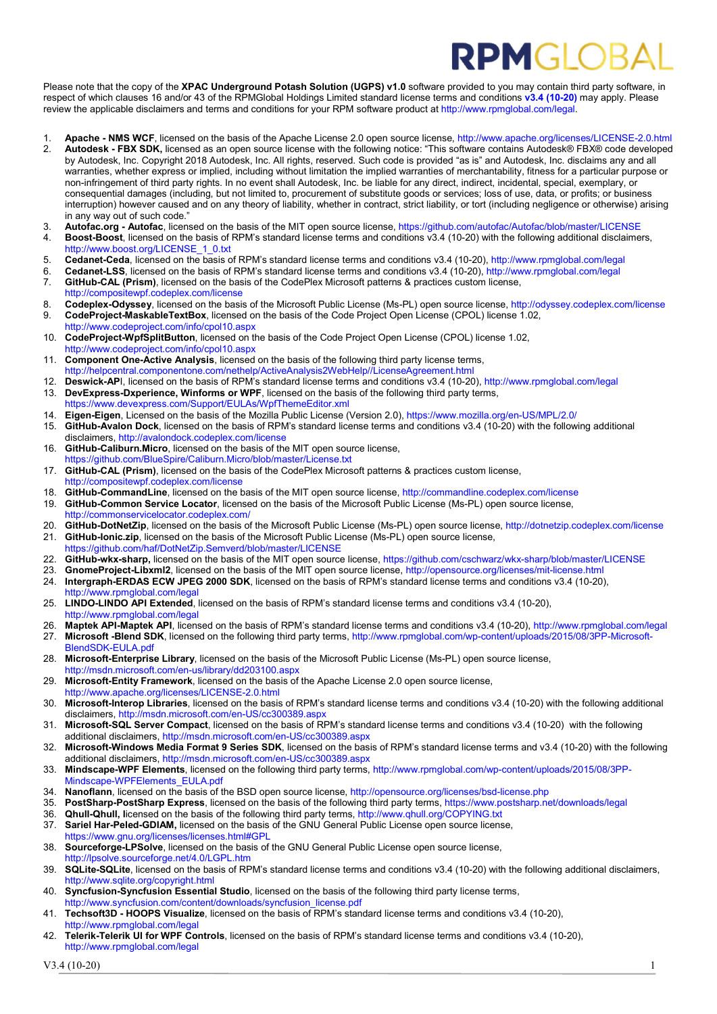## **RPMGLOB**

Please note that the copy of the XPAC Underground Potash Solution (UGPS) v1.0 software provided to you may contain third party software, in respect of which clauses 16 and/or 43 of the RPMGlobal Holdings Limited standard license terms and conditions v3.4 (10-20) may apply. Please review the applicable disclaimers and terms and conditions for your RPM software product at http://www.rpmglobal.com/legal.

- 1. Apache NMS WCF, licensed on the basis of the Apache License 2.0 open source license, http://www.apache.org/licenses/LICENSE-2.0.html
- 2. Autodesk FBX SDK, licensed as an open source license with the following notice: "This software contains Autodesk® FBX® code developed by Autodesk, Inc. Copyright 2018 Autodesk, Inc. All rights, reserved. Such code is provided "as is" and Autodesk, Inc. disclaims any and all warranties, whether express or implied, including without limitation the implied warranties of merchantability, fitness for a particular purpose or non-infringement of third party rights. In no event shall Autodesk, Inc. be liable for any direct, indirect, incidental, special, exemplary, or consequential damages (including, but not limited to, procurement of substitute goods or services; loss of use, data, or profits; or business interruption) however caused and on any theory of liability, whether in contract, strict liability, or tort (including negligence or otherwise) arising in any way out of such code."
- 3. Autofac.org Autofac, licensed on the basis of the MIT open source license, https://github.com/autofac/Autofac/blob/master/LICENSE
- 4. Boost-Boost, licensed on the basis of RPM's standard license terms and conditions v3.4 (10-20) with the following additional disclaimers, http://www.boost.org/LICENSE\_1\_0.txt
- 5. Cedanet-Ceda, licensed on the basis of RPM's standard license terms and conditions v3.4 (10-20), http://www.rpmglobal.com/legal
- 6. Cedanet-LSS, licensed on the basis of RPM's standard license terms and conditions v3.4 (10-20), http://www.rpmglobal.com/legal
- 7. GitHub-CAL (Prism), licensed on the basis of the CodePlex Microsoft patterns & practices custom license, http://compositewpf.codeplex.com/license
- 8. Codeplex-Odyssey, licensed on the basis of the Microsoft Public License (Ms-PL) open source license, http://odyssey.codeplex.com/license 9. CodeProject-MaskableTextBox, licensed on the basis of the Code Project Open License (CPOL) license 1.02,
- http://www.codeproject.com/info/cpol10.aspx 10. CodeProject-WpfSplitButton, licensed on the basis of the Code Project Open License (CPOL) license 1.02, http://www.codeproject.com/info/cpol10.aspx
- 11. Component One-Active Analysis, licensed on the basis of the following third party license terms, http://helpcentral.componentone.com/nethelp/ActiveAnalysis2WebHelp//LicenseAgreement.htm
- 12. Deswick-API, licensed on the basis of RPM's standard license terms and conditions v3.4 (10-20), http://www.rpmglobal.com/legal
- 13. DevExpress-Dxperience, Winforms or WPF, licensed on the basis of the following third party terms, https://www.devexpress.com/Support/EULAs/WpfThemeEditor.xml
- 14. Eigen-Eigen, Licensed on the basis of the Mozilla Public License (Version 2.0), https://www.mozilla.org/en-US/MPL/2.0/ 15. GitHub-Avalon Dock, licensed on the basis of RPM's standard license terms and conditions v3.4 (10-20) with the following additional disclaimers, http://avalondock.codeplex.com/license
- 16. GitHub-Caliburn.Micro, licensed on the basis of the MIT open source license, https://github.com/BlueSpire/Caliburn.Micro/blob/master/License.txt
- 17. GitHub-CAL (Prism), licensed on the basis of the CodePlex Microsoft patterns & practices custom license, http://compositewpf.codeplex.com/license
- 18. GitHub-CommandLine, licensed on the basis of the MIT open source license, http://commandline.codeplex.com/license
- 19. GitHub-Common Service Locator, licensed on the basis of the Microsoft Public License (Ms-PL) open source license, http://commonservicelocator.codeplex.com/
- 20. GitHub-DotNetZip, licensed on the basis of the Microsoft Public License (Ms-PL) open source license, http://dotnetzip.codeplex.com/license 21. GitHub-Ionic.zip, licensed on the basis of the Microsoft Public License (Ms-PL) open source license,
- https://github.com/haf/DotNetZip.Semverd/blob/master/LICENSE
- 22. GitHub-wkx-sharp, licensed on the basis of the MIT open source license, https://github.com/cschwarz/wkx-sharp/blob/master/LICENSE<br>23. GnomeProject-Libxml2 licensed on the basis of the MIT open source license, http://op
- GnomeProject-Libxml2, licensed on the basis of the MIT open source license, http://opensource.org/licenses/mit-license.html
- 24. Intergraph-ERDAS ECW JPEG 2000 SDK, licensed on the basis of RPM's standard license terms and conditions v3.4 (10-20),
- http://www.rpmglobal.com/lega 25. LINDO-LINDO API Extended, licensed on the basis of RPM's standard license terms and conditions v3.4 (10-20),
- http://www.rpmglobal.com/legal
- 26. Maptek API-Maptek API, licensed on the basis of RPM's standard license terms and conditions v3.4 (10-20), http://www.rpmglobal.com/legal
- 27. Microsoft -Blend SDK, licensed on the following third party terms, http://www.rpmglobal.com/wp-content/uploads/2015/08/3PP-Microsoft-**BlendSDK-EULA.pdf**
- 28. Microsoft-Enterprise Library, licensed on the basis of the Microsoft Public License (Ms-PL) open source license, http://msdn.microsoft.com/en-us/library/dd203100.aspx
- 29. Microsoft-Entity Framework, licensed on the basis of the Apache License 2.0 open source license, http://www.apache.org/licenses/LICENSE-2.0.html
- 30. Microsoft-Interop Libraries, licensed on the basis of RPM's standard license terms and conditions v3.4 (10-20) with the following additional disclaimers, http://msdn.microsoft.com/en-US/cc300389.aspx
- 31. Microsoft-SQL Server Compact, licensed on the basis of RPM's standard license terms and conditions v3.4 (10-20) with the following additional disclaimers, http://msdn.microsoft.com/en-US/cc300389.aspx
- 32. Microsoft-Windows Media Format 9 Series SDK, licensed on the basis of RPM's standard license terms and v3.4 (10-20) with the following additional disclaimers, http://msdn.microsoft.com/en-US/cc300389.aspx
- 33. Mindscape-WPF Elements, licensed on the following third party terms, http://www.rpmglobal.com/wp-content/uploads/2015/08/3PP-Mindscape-WPFElements\_EULA.pdf
- 34. Nanoflann, licensed on the basis of the BSD open source license, http://opensource.org/licenses/bsd-license.php
- 35. PostSharp-PostSharp Express, licensed on the basis of the following third party terms, https://www.postsharp.net/downloads/legal
- 36. Qhull-Qhull, licensed on the basis of the following third party terms, http://www.qhull.org/COPYING.txt<br>37 Sariel Har-Peled-GDIAM, licensed on the basis of the GNU General Public License open source licens
- Sariel Har-Peled-GDIAM, licensed on the basis of the GNU General Public License open source license. https://www.gnu.org/licenses/licenses.html#GPL
- 38. Sourceforge-LPSolve, licensed on the basis of the GNU General Public License open source license, http://lpsolve.sourceforge.net/4.0/LGPL.htm
- 39. SQLite-SQLite, licensed on the basis of RPM's standard license terms and conditions v3.4 (10-20) with the following additional disclaimers, http://www.sqlite.org/copyright.html
- 40. Syncfusion-Syncfusion Essential Studio, licensed on the basis of the following third party license terms, http://www.syncfusion.com/content/downloads/syncfusion\_license.pdf
- 41. Techsoft3D HOOPS Visualize, licensed on the basis of RPM's standard license terms and conditions v3.4 (10-20), http://www.rpmglobal.com/legal
- 42. Telerik-Telerik UI for WPF Controls, licensed on the basis of RPM's standard license terms and conditions v3.4 (10-20), http://www.rpmglobal.com/legal